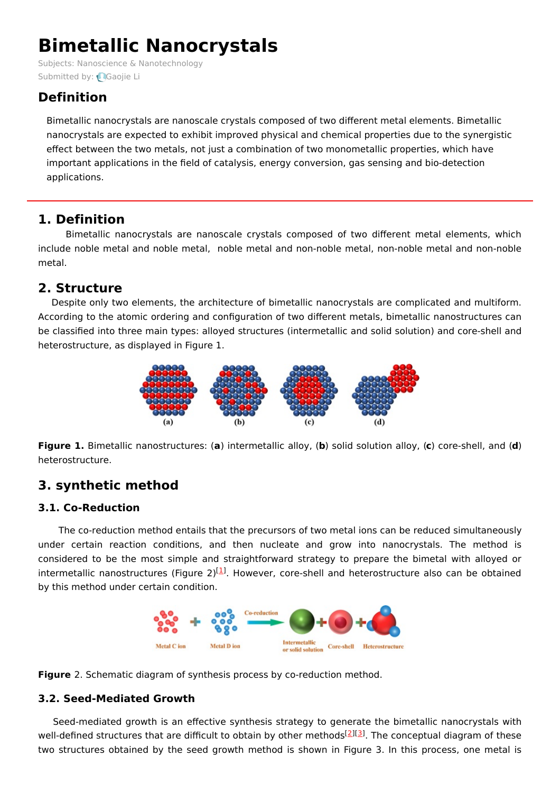# **Bimetallic Nanocrystals**

Subjects: Nanoscience & [Nanotechnology](https://encyclopedia.pub/item/subject/213) Submitted by: **Q[Gaojie](https://sciprofiles.com/profile/1620359) Li** 

# **Definition**

Bimetallic nanocrystals are nanoscale crystals composed of two different metal elements. Bimetallic nanocrystals are expected to exhibit improved physical and chemical properties due to the synergistic effect between the two metals, not just a combination of two monometallic properties, which have important applications in the field of catalysis, energy conversion, gas sensing and bio-detection applications.

# **1. Definition**

Bimetallic nanocrystals are nanoscale crystals composed of two different metal elements, which include noble metal and noble metal, noble metal and non-noble metal, non-noble metal and non-noble metal.

# **2. Structure**

Despite only two elements, the architecture of bimetallic nanocrystals are complicated and multiform. According to the atomic ordering and configuration of two different metals, bimetallic nanostructures can be classified into three main types: alloyed structures (intermetallic and solid solution) and core-shell and heterostructure, as displayed in Figure 1.



**Figure 1.** Bimetallic nanostructures: (**a**) intermetallic alloy, (**b**) solid solution alloy, (**c**) core-shell, and (**d**) heterostructure.

# **3. synthetic method**

### **3.1. Co-Reduction**

The co-reduction method entails that the precursors of two metal ions can be reduced simultaneously under certain reaction conditions, and then nucleate and grow into nanocrystals. The method is considered to be the most simple and straightforward strategy to prepare the bimetal with alloyed or intermetallic nanostructures (Figure 2)<sup>[\[1](#page-2-0)]</sup>. However, core-shell and heterostructure also can be obtained by this method under certain condition.





#### **3.2. Seed-Mediated Growth**

Seed-mediated growth is an effective synthesis strategy to generate the bimetallic nanocrystals with well-defined structures that are difficult to obtain by other methods<sup>[\[2](#page-2-1)][[3](#page-2-2)]</sup>. The conceptual diagram of these two structures obtained by the seed growth method is shown in Figure 3. In this process, one metal is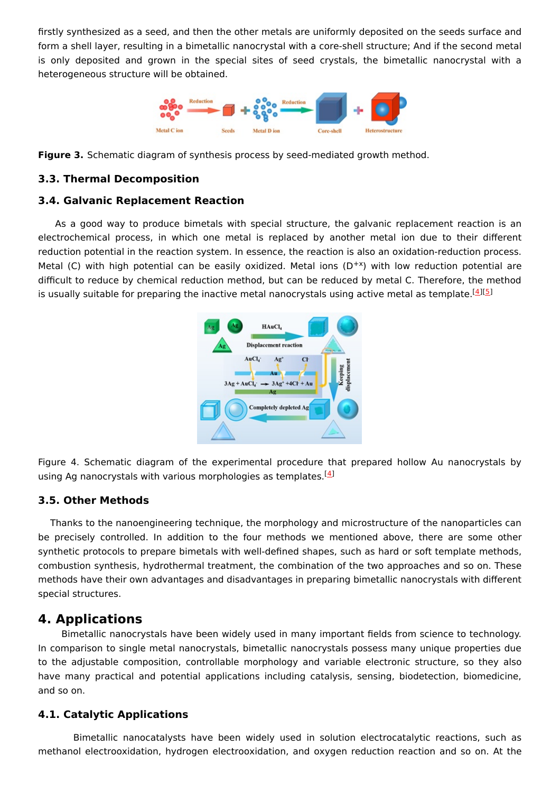firstly synthesized as a seed, and then the other metals are uniformly deposited on the seeds surface and form a shell layer, resulting in a bimetallic nanocrystal with a core-shell structure; And if the second metal is only deposited and grown in the special sites of seed crystals, the bimetallic nanocrystal with a heterogeneous structure will be obtained.



**Figure 3.** Schematic diagram of synthesis process by seed-mediated growth method.

#### **3.3. Thermal Decomposition**

#### **3.4. Galvanic Replacement Reaction**

As a good way to produce bimetals with special structure, the galvanic replacement reaction is an electrochemical process, in which one metal is replaced by another metal ion due to their different reduction potential in the reaction system. In essence, the reaction is also an oxidation-reduction process. Metal (C) with high potential can be easily oxidized. Metal ions  $(D^{+x})$  with low reduction potential are difficult to reduce by chemical reduction method, but can be reduced by metal C. Therefore, the method is usually suitable for preparing the inactive metal nanocrystals using active metal as template.<sup>[[4](#page-2-3)][\[5](#page-3-0)]</sup>



Figure 4. Schematic diagram of the experimental procedure that prepared hollow Au nanocrystals by using Ag nanocrystals with various morphologies as templates.<sup>[<u>4</u>]</sup>

#### **3.5. Other Methods**

Thanks to the nanoengineering technique, the morphology and microstructure of the nanoparticles can be precisely controlled. In addition to the four methods we mentioned above, there are some other synthetic protocols to prepare bimetals with well-defined shapes, such as hard or soft template methods, combustion synthesis, hydrothermal treatment, the combination of the two approaches and so on. These methods have their own advantages and disadvantages in preparing bimetallic nanocrystals with different special structures.

### **4. Applications**

Bimetallic nanocrystals have been widely used in many important fields from science to technology. In comparison to single metal nanocrystals, bimetallic nanocrystals possess many unique properties due to the adjustable composition, controllable morphology and variable electronic structure, so they also have many practical and potential applications including catalysis, sensing, biodetection, biomedicine, and so on.

#### **4.1. Catalytic Applications**

Bimetallic nanocatalysts have been widely used in solution electrocatalytic reactions, such as methanol electrooxidation, hydrogen electrooxidation, and oxygen reduction reaction and so on. At the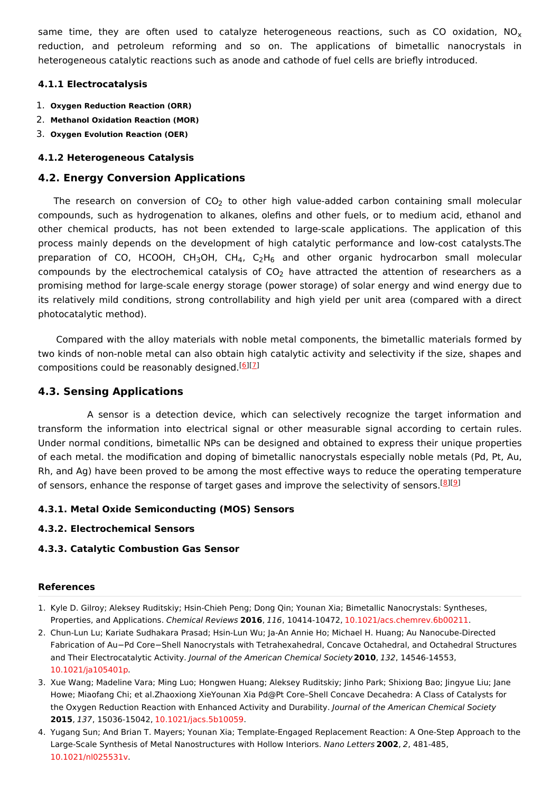same time, they are often used to catalyze heterogeneous reactions, such as CO oxidation, NO<sub>x</sub> reduction, and petroleum reforming and so on. The applications of bimetallic nanocrystals in heterogeneous catalytic reactions such as anode and cathode of fuel cells are briefly introduced.

#### **4.1.1 Electrocatalysis**

- 1. **Oxygen Reduction Reaction (ORR)**
- 2. **Methanol Oxidation Reaction (MOR)**
- 3. **Oxygen Evolution Reaction (OER)**

#### **4.1.2 Heterogeneous Catalysis**

#### **4.2. Energy Conversion Applications**

The research on conversion of  $CO_2$  to other high value-added carbon containing small molecular compounds, such as hydrogenation to alkanes, olefins and other fuels, or to medium acid, ethanol and other chemical products, has not been extended to large-scale applications. The application of this process mainly depends on the development of high catalytic performance and low-cost catalysts.The preparation of CO, HCOOH, CH<sub>3</sub>OH, CH<sub>4</sub>, C<sub>2</sub>H<sub>6</sub> and other organic hydrocarbon small molecular compounds by the electrochemical catalysis of CO<sub>2</sub> have attracted the attention of researchers as a promising method for large-scale energy storage (power storage) of solar energy and wind energy due to its relatively mild conditions, strong controllability and high yield per unit area (compared with a direct photocatalytic method).

Compared with the alloy materials with noble metal components, the bimetallic materials formed by two kinds of non-noble metal can also obtain high catalytic activity and selectivity if the size, shapes and compositions could be reasonably designed.<sup>[\[6](#page-3-1)][[7](#page-3-2)]</sup>

#### **4.3. Sensing Applications**

A sensor is a detection device, which can selectively recognize the target information and transform the information into electrical signal or other measurable signal according to certain rules. Under normal conditions, bimetallic NPs can be designed and obtained to express their unique properties of each metal. the modification and doping of bimetallic nanocrystals especially noble metals (Pd, Pt, Au, Rh, and Ag) have been proved to be among the most effective ways to reduce the operating temperature of sensors, enhance the response of target gases and improve the selectivity of sensors.<sup>[\[8](#page-3-3)][[9](#page-3-4)]</sup>

#### **4.3.1. Metal Oxide Semiconducting (MOS) Sensors**

#### **4.3.2. Electrochemical Sensors**

#### **4.3.3. Catalytic Combustion Gas Sensor**

#### **References**

- <span id="page-2-0"></span>1. Kyle D. Gilroy; Aleksey Ruditskiy; Hsin-Chieh Peng; Dong Qin; Younan Xia; Bimetallic Nanocrystals: Syntheses, Properties, and Applications. Chemical Reviews **2016**, 116, 10414-10472, [10.1021/acs.chemrev.6b00211](http://doi.org/10.1021/acs.chemrev.6b00211).
- <span id="page-2-1"></span>2. Chun-Lun Lu; Kariate Sudhakara Prasad; Hsin-Lun Wu; Ja-An Annie Ho; Michael H. Huang; Au Nanocube-Directed Fabrication of Au−Pd Core−Shell Nanocrystals with Tetrahexahedral, Concave Octahedral, and Octahedral Structures and Their Electrocatalytic Activity. Journal of the American Chemical Society**2010**, 132, 14546-14553, [10.1021/ja105401p](http://doi.org/10.1021/ja105401p).
- <span id="page-2-2"></span>3. Xue Wang; Madeline Vara; Ming Luo; Hongwen Huang; Aleksey Ruditskiy; Jinho Park; Shixiong Bao; Jingyue Liu; Jane Howe; Miaofang Chi; et al.Zhaoxiong XieYounan Xia Pd@Pt Core–Shell Concave Decahedra: A Class of Catalysts for the Oxygen Reduction Reaction with Enhanced Activity and Durability. Journal of the American Chemical Society **2015**, 137, 15036-15042, [10.1021/jacs.5b10059](http://doi.org/10.1021/jacs.5b10059).
- <span id="page-2-3"></span>4. Yugang Sun; And Brian T. Mayers; Younan Xia; Template-Engaged Replacement Reaction: A One-Step Approach to the Large-Scale Synthesis of Metal Nanostructures with Hollow Interiors. Nano Letters **2002**, 2, 481-485, [10.1021/nl025531v](http://doi.org/10.1021/nl025531v).